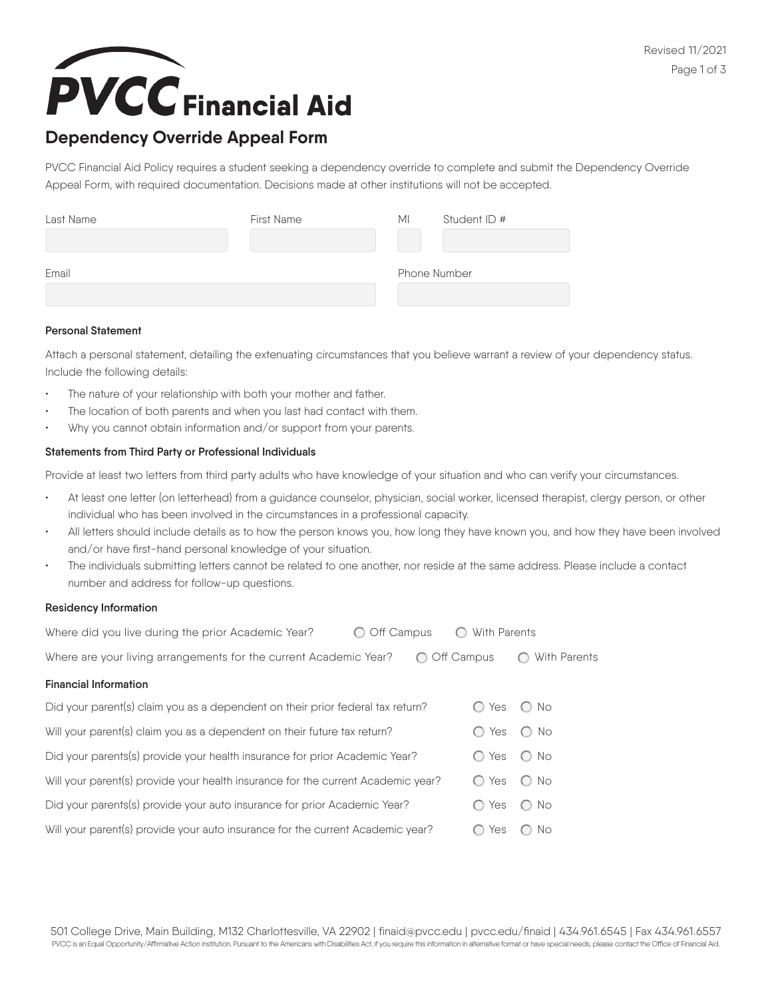## **PVCC** Financial Aid

### **Dependency Override Appeal Form**

PVCC Financial Aid Policy requires a student seeking a dependency override to complete and submit the Dependency Override Appeal Form, with required documentation. Decisions made at other institutions will not be accepted.

| Last Name | First Name | МI | Student ID #        |  |  |
|-----------|------------|----|---------------------|--|--|
|           |            |    |                     |  |  |
| Email     |            |    | <b>Phone Number</b> |  |  |
|           |            |    |                     |  |  |

#### **Personal Statement**

Attach a personal statement, detailing the extenuating circumstances that you believe warrant a review of your dependency status. Include the following details:

- The nature of your relationship with both your mother and father.
- The location of both parents and when you last had contact with them.
- Why you cannot obtain information and/or support from your parents.

#### **Statements from Third Party or Professional Individuals**

Provide at least two letters from third party adults who have knowledge of your situation and who can verify your circumstances.

- At least one letter (on letterhead) from a guidance counselor, physician, social worker, licensed therapist, clergy person, or other individual who has been involved in the circumstances in a professional capacity.
- All letters should include details as to how the person knows you, how long they have known you, and how they have been involved and/or have first-hand personal knowledge of your situation.
- The individuals submitting letters cannot be related to one another, nor reside at the same address. Please include a contact number and address for follow-up questions.

#### **Residency Information**

| Where did you live during the prior Academic Year?                                                   | Off Campus |  | With Parents<br>$\left( \begin{array}{c} \end{array} \right)$ |               |  |
|------------------------------------------------------------------------------------------------------|------------|--|---------------------------------------------------------------|---------------|--|
| Where are your living arrangements for the current Academic Year?                                    |            |  | Off Campus                                                    | With Parents  |  |
| <b>Financial Information</b>                                                                         |            |  |                                                               |               |  |
| Did your parent(s) claim you as a dependent on their prior federal tax return?                       |            |  | Yes                                                           | $\bigcirc$ No |  |
| Will your parent(s) claim you as a dependent on their future tax return?                             |            |  | Yes<br>$\left( \begin{array}{c} \end{array} \right)$          | No            |  |
| Did your parents(s) provide your health insurance for prior Academic Year?                           |            |  | $\bigcirc$ Yes                                                | $\bigcirc$ No |  |
| <b>No</b><br>Will your parent(s) provide your health insurance for the current Academic year?<br>Yes |            |  |                                                               |               |  |
| Did your parents(s) provide your auto insurance for prior Academic Year?                             |            |  | O Yes                                                         | $\bigcirc$ No |  |
| Will your parent(s) provide your auto insurance for the current Academic year?                       |            |  | Yes                                                           | No            |  |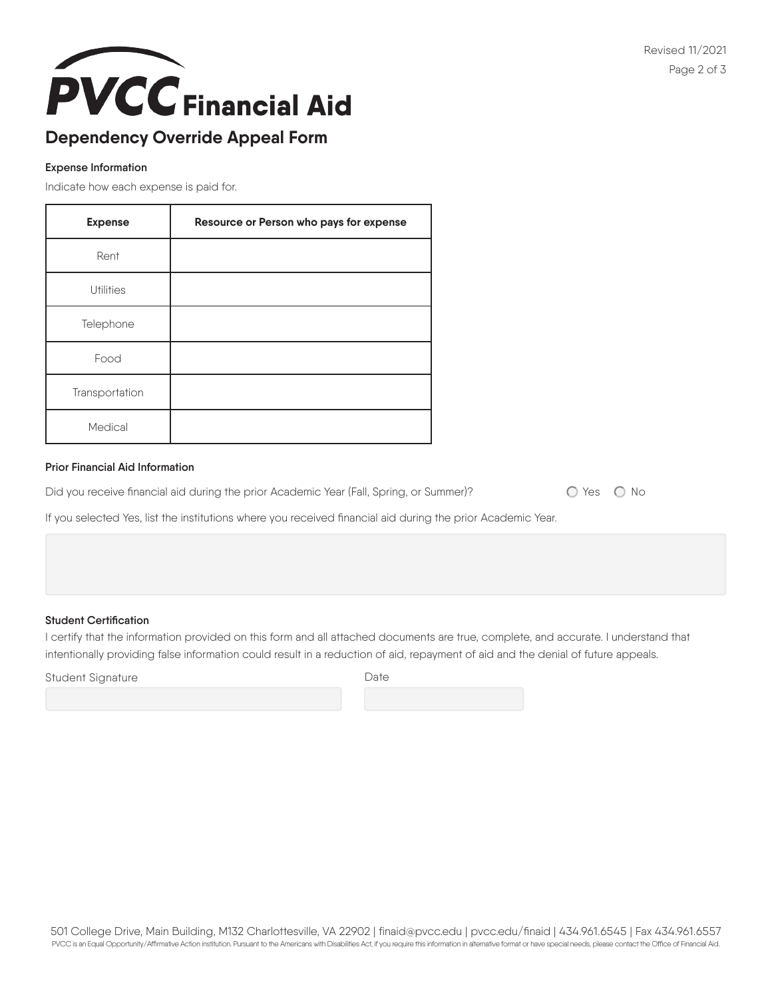### **PVCC** Financial Aid **Dependency Override Appeal Form**

#### **Expense Information**

Indicate how each expense is paid for.

| <b>Expense</b>   | Resource or Person who pays for expense |
|------------------|-----------------------------------------|
| Rent             |                                         |
| <b>Utilities</b> |                                         |
| Telephone        |                                         |
| Food             |                                         |
| Transportation   |                                         |
| Medical          |                                         |

#### **Prior Financial Aid Information**

Did you receive financial aid during the prior Academic Year (Fall, Spring, or Summer)?  $\bigcirc$  Yes  $\bigcirc$  No

If you selected Yes, list the institutions where you received financial aid during the prior Academic Year.

#### **Student Certification**

I certify that the information provided on this form and all attached documents are true, complete, and accurate. I understand that intentionally providing false information could result in a reduction of aid, repayment of aid and the denial of future appeals.

Student Signature Date